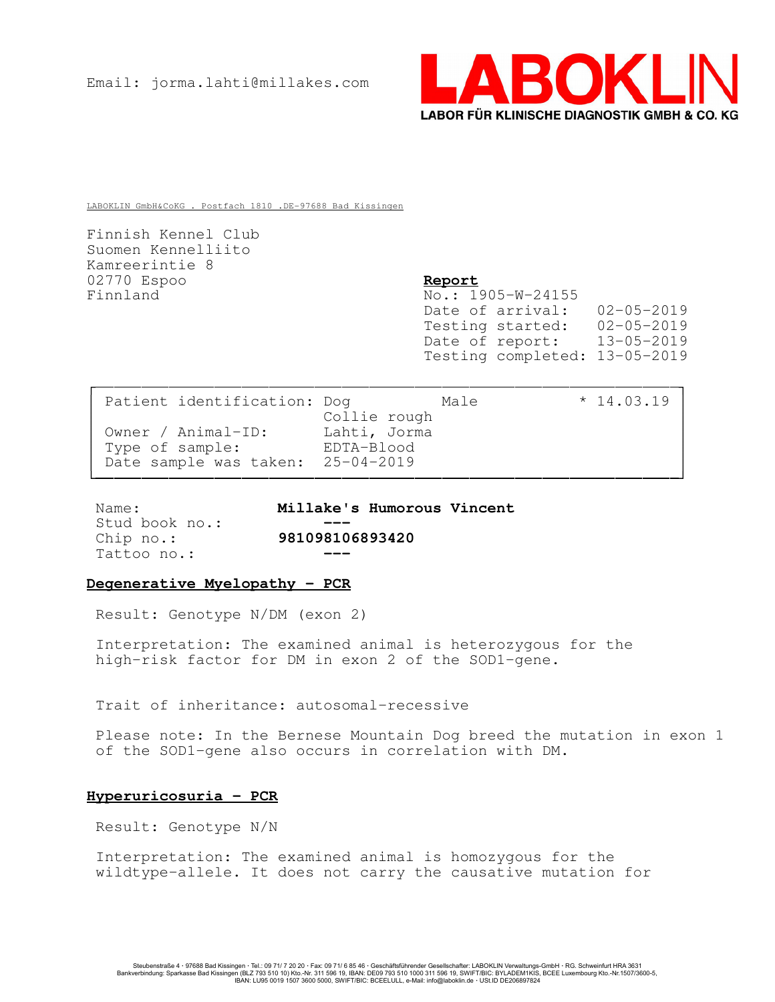

LABOKLIN GmbH&CoKG . Postfach 1810 .DE-97688 Bad Kissingen

Finnish Kennel Club Suomen Kennelliito Kamreerintie 8 02770 Espoo Report Finnland No.: 1905-W-24155

Date of arrival: 02-05-2019 Testing started: 02-05-2019 Date of report: 13-05-2019 Testing completed: 13-05-2019

| Patient identification: Dog       |              | Male | $*14.03.19$ |  |
|-----------------------------------|--------------|------|-------------|--|
|                                   | Collie rough |      |             |  |
| Owner / Animal-ID:                | Lahti, Jorma |      |             |  |
| Type of sample:                   | EDTA-Blood   |      |             |  |
| Date sample was taken: 25-04-2019 |              |      |             |  |
|                                   |              |      |             |  |

Stud book no.: Tattoo no.:

Name: Millake's Humorous Vincent Chip no.: 981098106893420

# Degenerative Myelopathy - PCR

Result: Genotype N/DM (exon 2)

Interpretation: The examined animal is heterozygous for the high-risk factor for DM in exon 2 of the SOD1-gene.

Trait of inheritance: autosomal-recessive

Please note: In the Bernese Mountain Dog breed the mutation in exon 1 of the SOD1-gene also occurs in correlation with DM.

# Hyperuricosuria - PCR

Result: Genotype N/N

Interpretation: The examined animal is homozygous for the wildtype-allele. It does not carry the causative mutation for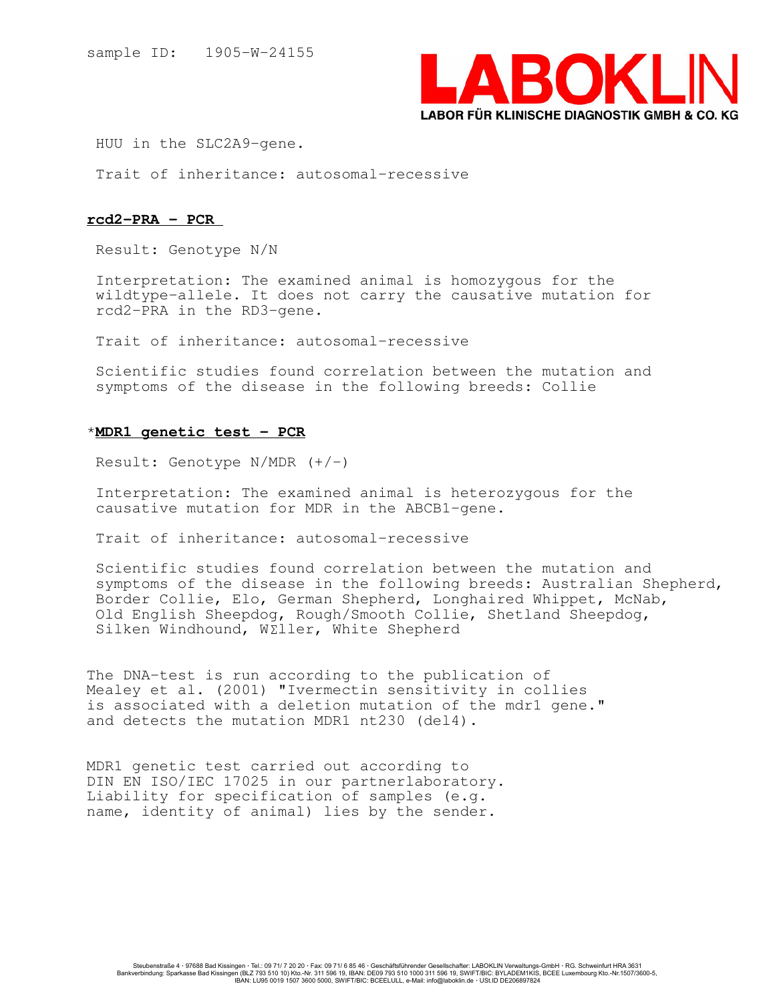

HUU in the SLC2A9-gene.

Trait of inheritance: autosomal-recessive

## rcd2-PRA - PCR

Result: Genotype N/N

Interpretation: The examined animal is homozygous for the wildtype-allele. It does not carry the causative mutation for rcd2-PRA in the RD3-gene.

Trait of inheritance: autosomal-recessive

Scientific studies found correlation between the mutation and symptoms of the disease in the following breeds: Collie

## \*MDR1 genetic test - PCR

Result: Genotype  $N/MDR$   $(+/-)$ 

Interpretation: The examined animal is heterozygous for the causative mutation for MDR in the ABCB1-gene.

Trait of inheritance: autosomal-recessive

Scientific studies found correlation between the mutation and symptoms of the disease in the following breeds: Australian Shepherd, Border Collie, Elo, German Shepherd, Longhaired Whippet, McNab, Old English Sheepdog, Rough/Smooth Collie, Shetland Sheepdog, Silken Windhound, W£ller, White Shepherd

The DNA-test is run according to the publication of Mealey et al. (2001) "Ivermectin sensitivity in collies is associated with a deletion mutation of the mdr1 gene." and detects the mutation MDR1 nt230 (del4).

MDR1 genetic test carried out according to DIN EN ISO/IEC 17025 in our partnerlaboratory. Liability for specification of samples (e.g. name, identity of animal) lies by the sender.